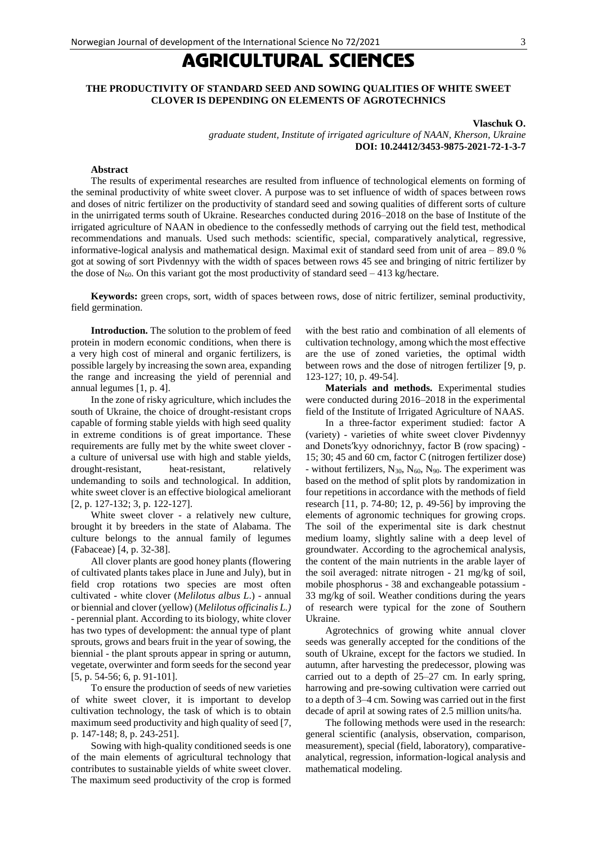## AGRICULTURAL SCIENCES

## **THE PRODUCTIVITY OF STANDARD SEED AND SOWING QUALITIES OF WHITE SWEET CLOVER IS DEPENDING ON ELEMENTS OF AGROTECHNICS**

**Vlaschuk O.**

*graduate student, Institute of irrigated agriculture of NAAN, Kherson, Ukraine* **DOI: 10.24412/3453-9875-2021-72-1-3-7**

## **Abstract**

The results of experimental researches are resulted from influence of technological elements on forming of the seminal productivity of white sweet clover. A purpose was to set influence of width of spaces between rows and doses of nitric fertilizer on the productivity of standard seed and sowing qualities of different sorts of culture in the unirrigated terms south of Ukraine. Researches conducted during 2016–2018 on the base of Institute of the irrigated agriculture of NAAN in obedience to the confessedly methods of carrying out the field test, methodical recommendations and manuals. Used such methods: scientific, special, comparatively analytical, regressive, informative-logical analysis and mathematical design. Maximal exit of standard seed from unit of area – 89.0 % got at sowing of sort Pivdennyy with the width of spaces between rows 45 see and bringing of nitric fertilizer by the dose of  $N_{60}$ . On this variant got the most productivity of standard seed – 413 kg/hectare.

**Keywords:** green crops, sort, width of spaces between rows, dose of nitric fertilizer, seminal productivity, field germination.

**Introduction.** The solution to the problem of feed protein in modern economic conditions, when there is a very high cost of mineral and organic fertilizers, is possible largely by increasing the sown area, expanding the range and increasing the yield of perennial and annual legumes [1, p. 4].

In the zone of risky agriculture, which includes the south of Ukraine, the choice of drought-resistant crops capable of forming stable yields with high seed quality in extreme conditions is of great importance. These requirements are fully met by the white sweet clover a culture of universal use with high and stable yields, drought-resistant, heat-resistant, relatively undemanding to soils and technological. In addition, white sweet clover is an effective biological ameliorant [2, p. 127-132; 3, p. 122-127].

White sweet clover - a relatively new culture, brought it by breeders in the state of Alabama. The culture belongs to the annual family of legumes (Fabaceae) [4, p. 32-38].

All clover plants are good honey plants (flowering of cultivated plants takes place in June and July), but in field crop rotations two species are most often cultivated - white clover (*Melilotus albus L*.) - annual or biennial and clover (yellow) (*Melilotus officinalis L.)* - perennial plant. According to its biology, white clover has two types of development: the annual type of plant sprouts, grows and bears fruit in the year of sowing, the biennial - the plant sprouts appear in spring or autumn, vegetate, overwinter and form seeds for the second year [5, p. 54-56; 6, p. 91-101].

To ensure the production of seeds of new varieties of white sweet clover, it is important to develop cultivation technology, the task of which is to obtain maximum seed productivity and high quality of seed [7, p. 147-148; 8, p. 243-251].

Sowing with high-quality conditioned seeds is one of the main elements of agricultural technology that contributes to sustainable yields of white sweet clover. The maximum seed productivity of the crop is formed

with the best ratio and combination of all elements of cultivation technology, among which the most effective are the use of zoned varieties, the optimal width between rows and the dose of nitrogen fertilizer [9, p. 123-127; 10, p. 49-54].

**Materials and methods.** Experimental studies were conducted during 2016–2018 in the experimental field of the Institute of Irrigated Agriculture of NAAS.

In a three-factor experiment studied: factor A (variety) - varieties of white sweet clover Pivdennyy and Donetsʹkyy odnorichnyy, factor B (row spacing) - 15; 30; 45 and 60 cm, factor C (nitrogen fertilizer dose) - without fertilizers,  $N_{30}$ ,  $N_{60}$ ,  $N_{90}$ . The experiment was based on the method of split plots by randomization in four repetitions in accordance with the methods of field research [11, p. 74-80; 12, p. 49-56] by improving the elements of agronomic techniques for growing crops. The soil of the experimental site is dark chestnut medium loamy, slightly saline with a deep level of groundwater. According to the agrochemical analysis, the content of the main nutrients in the arable layer of the soil averaged: nitrate nitrogen - 21 mg/kg of soil, mobile phosphorus - 38 and exchangeable potassium - 33 mg/kg of soil. Weather conditions during the years of research were typical for the zone of Southern Ukraine.

Agrotechnics of growing white annual clover seeds was generally accepted for the conditions of the south of Ukraine, except for the factors we studied. In autumn, after harvesting the predecessor, plowing was carried out to a depth of 25–27 cm. In early spring, harrowing and pre-sowing cultivation were carried out to a depth of 3–4 cm. Sowing was carried out in the first decade of april at sowing rates of 2.5 million units/ha.

The following methods were used in the research: general scientific (analysis, observation, comparison, measurement), special (field, laboratory), comparativeanalytical, regression, information-logical analysis and mathematical modeling.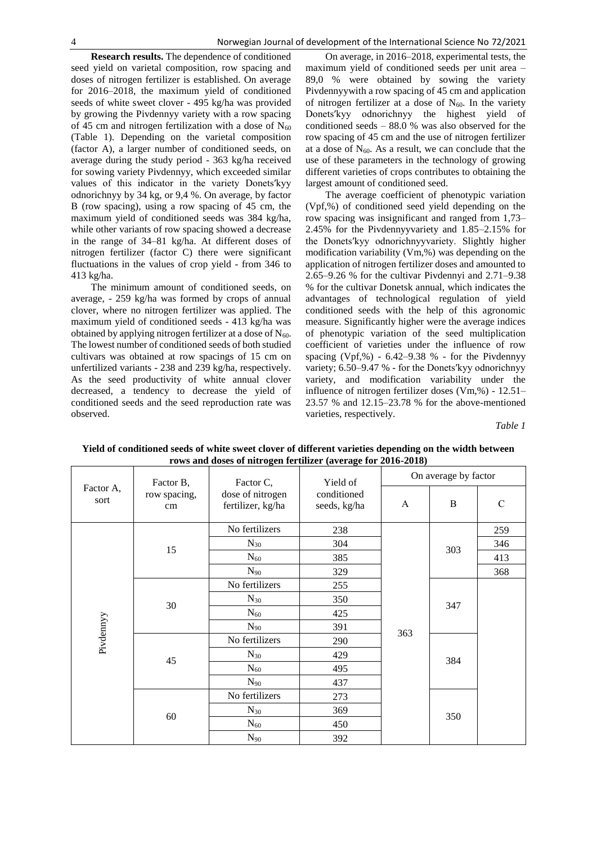**Research results.** The dependence of conditioned seed yield on varietal composition, row spacing and doses of nitrogen fertilizer is established. On average for 2016–2018, the maximum yield of conditioned seeds of white sweet clover - 495 kg/ha was provided by growing the Pivdennyy variety with a row spacing of 45 cm and nitrogen fertilization with a dose of  $N_{60}$ (Table 1). Depending on the varietal composition (factor A), a larger number of conditioned seeds, on average during the study period - 363 kg/ha received for sowing variety Pivdennyy, which exceeded similar values of this indicator in the variety Donetsʹkyy odnorichnyy by 34 kg, or 9,4 %. On average, by factor B (row spacing), using a row spacing of 45 cm, the maximum yield of conditioned seeds was 384 kg/ha, while other variants of row spacing showed a decrease in the range of 34–81 kg/ha. At different doses of nitrogen fertilizer (factor C) there were significant fluctuations in the values of crop yield - from 346 to 413 kg/ha.

The minimum amount of conditioned seeds, on average, - 259 kg/ha was formed by crops of annual clover, where no nitrogen fertilizer was applied. The maximum yield of conditioned seeds - 413 kg/ha was obtained by applying nitrogen fertilizer at a dose of  $N_{60}$ . The lowest number of conditioned seeds of both studied cultivars was obtained at row spacings of 15 cm on unfertilized variants - 238 and 239 kg/ha, respectively. As the seed productivity of white annual clover decreased, a tendency to decrease the yield of conditioned seeds and the seed reproduction rate was observed.

On average, in 2016–2018, experimental tests, the maximum yield of conditioned seeds per unit area – 89,0 % were obtained by sowing the variety Pivdennyywith a row spacing of 45 cm and application of nitrogen fertilizer at a dose of  $N_{60}$ . In the variety Donetsʹkyy odnorichnyy the highest yield of conditioned seeds – 88.0 % was also observed for the row spacing of 45 cm and the use of nitrogen fertilizer at a dose of  $N_{60}$ . As a result, we can conclude that the use of these parameters in the technology of growing different varieties of crops contributes to obtaining the largest amount of conditioned seed.

The average coefficient of phenotypic variation (Vpf,%) of conditioned seed yield depending on the row spacing was insignificant and ranged from 1,73– 2.45% for the Pivdennyyvariety and 1.85–2.15% for the Donetsʹkyy odnorichnyyvariety. Slightly higher modification variability (Vm,%) was depending on the application of nitrogen fertilizer doses and amounted to 2.65–9.26 % for the cultivar Pivdennyi and 2.71–9.38 % for the cultivar Donetsk annual, which indicates the advantages of technological regulation of yield conditioned seeds with the help of this agronomic measure. Significantly higher were the average indices of phenotypic variation of the seed multiplication coefficient of varieties under the influence of row spacing  $(Vpf,\%)$  - 6.42–9.38 % - for the Pivdennyy variety; 6.50–9.47 % - for the Donetsʹkyy odnorichnyy variety, and modification variability under the influence of nitrogen fertilizer doses (Vm,%) - 12.51– 23.57 % and 12.15–23.78 % for the above-mentioned varieties, respectively.

*Table 1*

| Factor A,<br>sort | Factor B,<br>row spacing,<br>cm | Factor C,                                                            | Yield of | On average by factor |              |             |
|-------------------|---------------------------------|----------------------------------------------------------------------|----------|----------------------|--------------|-------------|
|                   |                                 | conditioned<br>dose of nitrogen<br>fertilizer, kg/ha<br>seeds, kg/ha |          | A                    | $\, {\bf B}$ | $\mathbf C$ |
| Pivdennyy         | 15                              | No fertilizers                                                       | 238      |                      | 303          | 259         |
|                   |                                 | $N_{30}$                                                             | 304      |                      |              | 346         |
|                   |                                 | $N_{60}$                                                             | 385      |                      |              | 413         |
|                   |                                 | $N_{90}$                                                             | 329      |                      |              | 368         |
|                   | 30                              | No fertilizers                                                       | 255      | 347<br>363           |              |             |
|                   |                                 | $N_{30}$                                                             | 350      |                      |              |             |
|                   |                                 | $N_{60}$                                                             | 425      |                      |              |             |
|                   |                                 | $N_{90}$                                                             | 391      |                      |              |             |
|                   | 45                              | No fertilizers                                                       | 290      |                      |              |             |
|                   |                                 | $N_{30}$                                                             | 429      |                      | 384          |             |
|                   |                                 | $N_{60}$                                                             | 495      |                      |              |             |
|                   |                                 | $N_{90}$                                                             | 437      |                      |              |             |
|                   | 60                              | No fertilizers                                                       | 273      |                      |              |             |
|                   |                                 | $N_{30}$                                                             | 369      | 350                  |              |             |
|                   |                                 | $N_{60}$                                                             | 450      |                      |              |             |
|                   |                                 | $N_{90}$                                                             | 392      |                      |              |             |

**Yield of conditioned seeds of white sweet clover of different varieties depending on the width between rows and doses of nitrogen fertilizer (average for 2016-2018)**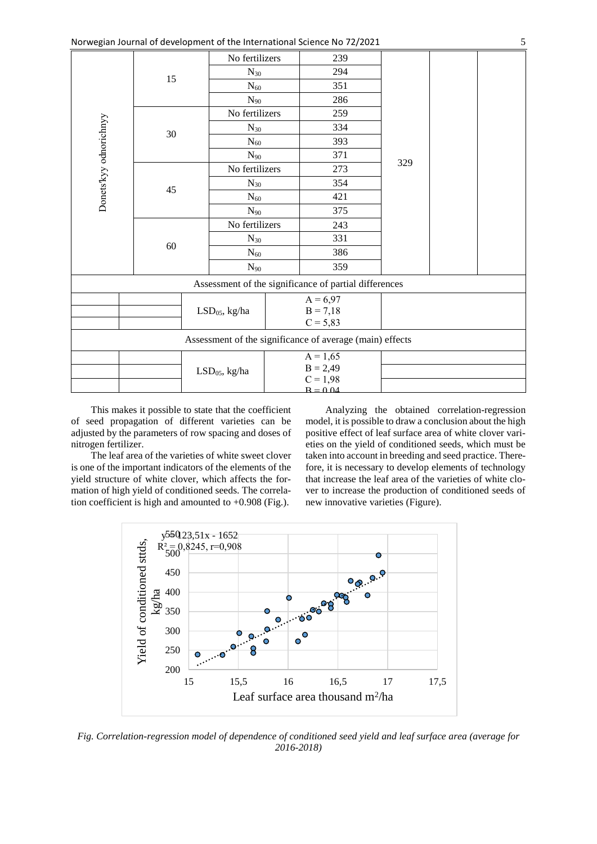|                                                          |    |                                                       | No fertilizers<br>239 |                          |     |  |  |
|----------------------------------------------------------|----|-------------------------------------------------------|-----------------------|--------------------------|-----|--|--|
|                                                          | 15 | $N_{30}$                                              |                       | 294                      |     |  |  |
|                                                          |    | $N_{60}$                                              |                       | 351                      |     |  |  |
|                                                          |    | $N_{90}$                                              |                       | 286                      |     |  |  |
|                                                          | 30 | No fertilizers                                        |                       | 259                      |     |  |  |
|                                                          |    | $N_{30}$                                              |                       | 334                      |     |  |  |
|                                                          |    | $N_{60}$                                              |                       | 393                      |     |  |  |
| Donets'kyy odnorichnyy                                   |    | $N_{90}$                                              |                       | 371                      | 329 |  |  |
|                                                          |    | No fertilizers                                        |                       | 273                      |     |  |  |
|                                                          | 45 | $N_{30}$                                              |                       | 354                      |     |  |  |
|                                                          |    | $N_{60}$                                              |                       | 421                      |     |  |  |
|                                                          |    | $N_{90}$                                              |                       | 375                      |     |  |  |
|                                                          | 60 | No fertilizers                                        |                       | 243                      |     |  |  |
|                                                          |    | $N_{30}$                                              |                       | 331                      |     |  |  |
|                                                          |    | ${\bf N}_{60}$                                        |                       | 386                      |     |  |  |
|                                                          |    | $N_{90}$                                              |                       | 359                      |     |  |  |
|                                                          |    | Assessment of the significance of partial differences |                       |                          |     |  |  |
|                                                          |    |                                                       |                       | $A = 6,97$               |     |  |  |
|                                                          |    | $LSD05$ , kg/ha                                       |                       | $B = 7,18$               |     |  |  |
|                                                          |    |                                                       | $C = 5,83$            |                          |     |  |  |
| Assessment of the significance of average (main) effects |    |                                                       |                       |                          |     |  |  |
|                                                          |    |                                                       |                       | $A = 1,65$               |     |  |  |
|                                                          |    | $LSD05$ , kg/ha                                       |                       | $B = 2,49$               |     |  |  |
|                                                          |    |                                                       |                       | $C = 1,98$<br>$R = 0.04$ |     |  |  |

This makes it possible to state that the coefficient of seed propagation of different varieties can be adjusted by the parameters of row spacing and doses of nitrogen fertilizer.

The leaf area of the varieties of white sweet clover is one of the important indicators of the elements of the yield structure of white clover, which affects the formation of high yield of conditioned seeds. The correlation coefficient is high and amounted to +0.908 (Fig.).

Analyzing the obtained correlation-regression model, it is possible to draw a conclusion about the high positive effect of leaf surface area of white clover varieties on the yield of conditioned seeds, which must be taken into account in breeding and seed practice. Therefore, it is necessary to develop elements of technology that increase the leaf area of the varieties of white clover to increase the production of conditioned seeds of new innovative varieties (Figure).



*Fig. Correlation-regression model of dependence of conditioned seed yield and leaf surface area (average for 2016-2018)*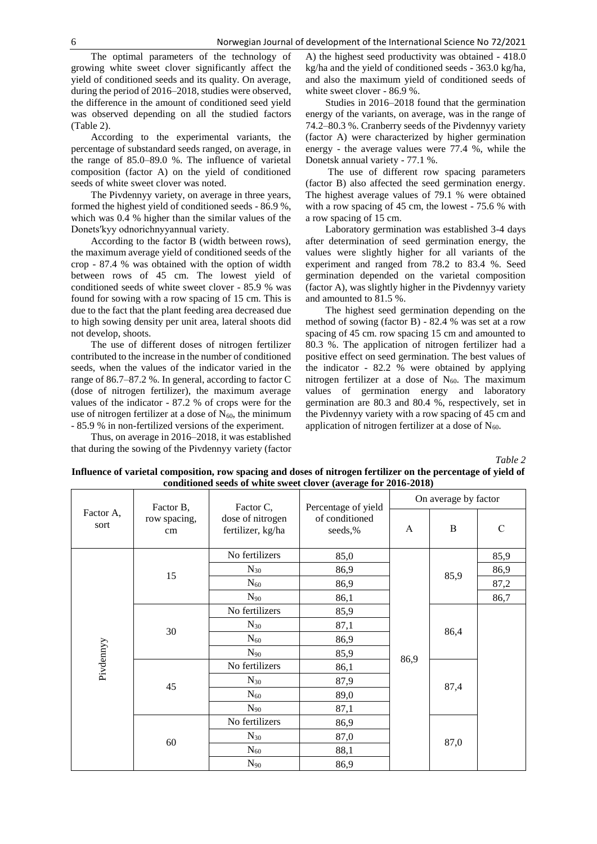The optimal parameters of the technology of growing white sweet clover significantly affect the yield of conditioned seeds and its quality. On average, during the period of 2016–2018, studies were observed, the difference in the amount of conditioned seed yield was observed depending on all the studied factors (Table 2).

According to the experimental variants, the percentage of substandard seeds ranged, on average, in the range of 85.0–89.0 %. The influence of varietal composition (factor A) on the yield of conditioned seeds of white sweet clover was noted.

The Pivdennyy variety, on average in three years, formed the highest yield of conditioned seeds - 86.9 %, which was 0.4 % higher than the similar values of the Donetsʹkyy odnorichnyyannual variety.

According to the factor B (width between rows), the maximum average yield of conditioned seeds of the crop - 87.4 % was obtained with the option of width between rows of 45 cm. The lowest yield of conditioned seeds of white sweet clover - 85.9 % was found for sowing with a row spacing of 15 cm. This is due to the fact that the plant feeding area decreased due to high sowing density per unit area, lateral shoots did not develop, shoots.

The use of different doses of nitrogen fertilizer contributed to the increase in the number of conditioned seeds, when the values of the indicator varied in the range of 86.7–87.2 %. In general, according to factor C (dose of nitrogen fertilizer), the maximum average values of the indicator - 87.2 % of crops were for the use of nitrogen fertilizer at a dose of  $N_{60}$ , the minimum - 85.9 % in non-fertilized versions of the experiment.

Thus, on average in 2016–2018, it was established that during the sowing of the Pivdennyy variety (factor

A) the highest seed productivity was obtained - 418.0 kg/ha and the yield of conditioned seeds - 363.0 kg/ha, and also the maximum yield of conditioned seeds of white sweet clover - 86.9 %.

Studies in 2016–2018 found that the germination energy of the variants, on average, was in the range of 74.2–80.3 %. Cranberry seeds of the Pivdennyy variety (factor A) were characterized by higher germination energy - the average values were 77.4 %, while the Donetsk annual variety - 77.1 %.

The use of different row spacing parameters (factor B) also affected the seed germination energy. The highest average values of 79.1 % were obtained with a row spacing of 45 cm, the lowest - 75.6 % with a row spacing of 15 cm.

Laboratory germination was established 3-4 days after determination of seed germination energy, the values were slightly higher for all variants of the experiment and ranged from 78.2 to 83.4 %. Seed germination depended on the varietal composition (factor A), was slightly higher in the Pivdennyy variety and amounted to 81.5 %.

The highest seed germination depending on the method of sowing (factor B) - 82.4 % was set at a row spacing of 45 cm. row spacing 15 cm and amounted to 80.3 %. The application of nitrogen fertilizer had a positive effect on seed germination. The best values of the indicator - 82.2 % were obtained by applying nitrogen fertilizer at a dose of  $N_{60}$ . The maximum values of germination energy and laboratory germination are 80.3 and 80.4 %, respectively, set in the Pivdennyy variety with a row spacing of 45 cm and application of nitrogen fertilizer at a dose of  $N_{60}$ .

*Table 2*

| Factor A,<br>sort | Factor B,<br>row spacing,<br>cm | Factor C,                             | o<br>Percentage of yield  |      | On average by factor |             |  |
|-------------------|---------------------------------|---------------------------------------|---------------------------|------|----------------------|-------------|--|
|                   |                                 | dose of nitrogen<br>fertilizer, kg/ha | of conditioned<br>seeds,% | A    | B                    | $\mathbf C$ |  |
| Pivdennyy         | 15                              | No fertilizers                        | 85,0                      |      |                      | 85,9        |  |
|                   |                                 | $N_{30}$                              | 86,9                      |      | 85,9                 | 86,9        |  |
|                   |                                 | $\mathrm{N}_{60}$                     | 86,9                      |      |                      | 87,2        |  |
|                   |                                 | $N_{90}$                              | 86,1                      |      |                      | 86,7        |  |
|                   | 30                              | No fertilizers                        | 85,9                      |      |                      |             |  |
|                   |                                 | $N_{30}$                              | 87,1                      |      | 86,4                 |             |  |
|                   |                                 | $N_{60}$                              | 86,9                      |      |                      |             |  |
|                   |                                 | $N_{90}$                              | 85,9                      | 86,9 |                      |             |  |
|                   | 45                              | No fertilizers                        | 86,1                      |      |                      |             |  |
|                   |                                 | $N_{30}$                              | 87,9                      |      | 87,4                 |             |  |
|                   |                                 | $N_{60}$                              | 89,0                      |      |                      |             |  |
|                   |                                 | $N_{90}$                              | 87,1                      |      |                      |             |  |
|                   |                                 | No fertilizers                        | 86,9                      |      |                      |             |  |
|                   | 60                              | $N_{30}$                              | 87,0                      |      | 87,0                 |             |  |
|                   |                                 | $N_{60}$                              | 88,1                      |      |                      |             |  |
|                   |                                 | $N_{90}$                              | 86,9                      |      |                      |             |  |

**Influence of varietal composition, row spacing and doses of nitrogen fertilizer on the percentage of yield of conditioned seeds of white sweet clover (average for 2016-2018)**